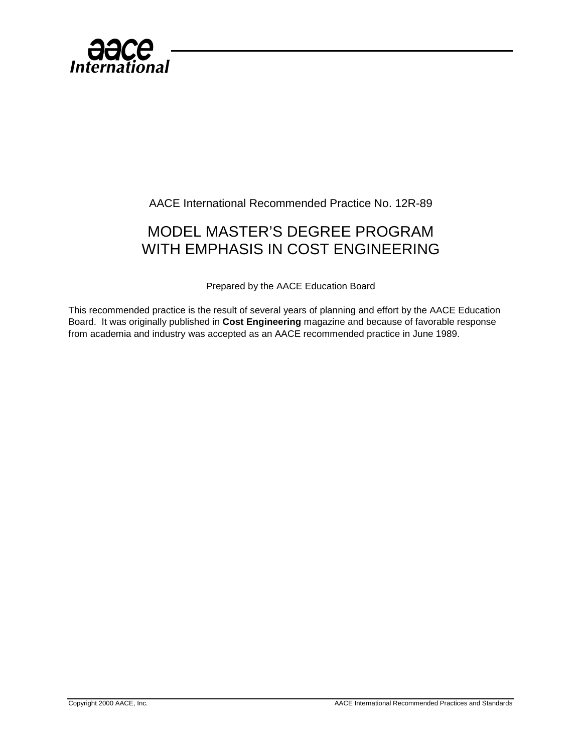

AACE International Recommended Practice No. 12R-89

## MODEL MASTER'S DEGREE PROGRAM WITH EMPHASIS IN COST ENGINEERING

Prepared by the AACE Education Board

This recommended practice is the result of several years of planning and effort by the AACE Education Board. It was originally published in **Cost Engineering** magazine and because of favorable response from academia and industry was accepted as an AACE recommended practice in June 1989.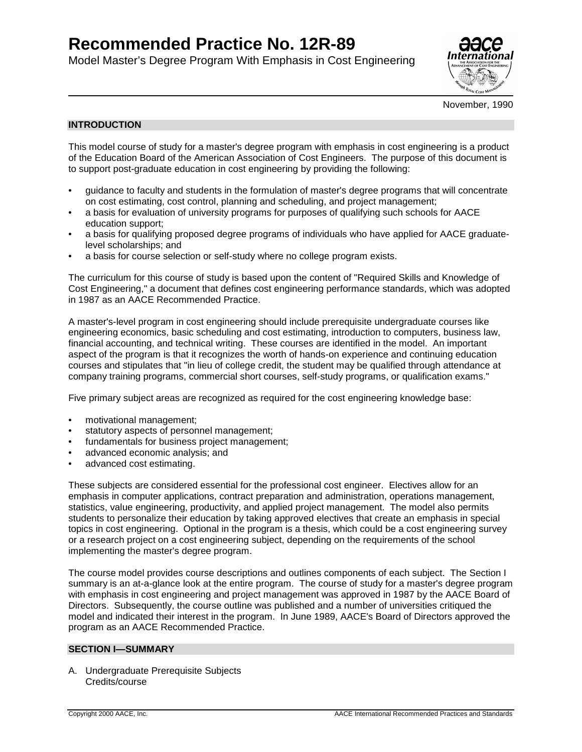# **Recommended Practice No. 12R-89**

Model Master's Degree Program With Emphasis in Cost Engineering



November, 1990

#### **INTRODUCTION**

This model course of study for a master's degree program with emphasis in cost engineering is a product of the Education Board of the American Association of Cost Engineers. The purpose of this document is to support post-graduate education in cost engineering by providing the following:

- guidance to faculty and students in the formulation of master's degree programs that will concentrate on cost estimating, cost control, planning and scheduling, and project management;
- a basis for evaluation of university programs for purposes of qualifying such schools for AACE education support;
- a basis for qualifying proposed degree programs of individuals who have applied for AACE graduatelevel scholarships; and
- a basis for course selection or self-study where no college program exists.

The curriculum for this course of study is based upon the content of "Required Skills and Knowledge of Cost Engineering," a document that defines cost engineering performance standards, which was adopted in 1987 as an AACE Recommended Practice.

A master's-level program in cost engineering should include prerequisite undergraduate courses like engineering economics, basic scheduling and cost estimating, introduction to computers, business law, financial accounting, and technical writing. These courses are identified in the model. An important aspect of the program is that it recognizes the worth of hands-on experience and continuing education courses and stipulates that "in lieu of college credit, the student may be qualified through attendance at company training programs, commercial short courses, self-study programs, or qualification exams."

Five primary subject areas are recognized as required for the cost engineering knowledge base:

- motivational management;
- statutory aspects of personnel management;
- fundamentals for business project management;
- advanced economic analysis; and
- advanced cost estimating.

These subjects are considered essential for the professional cost engineer. Electives allow for an emphasis in computer applications, contract preparation and administration, operations management, statistics, value engineering, productivity, and applied project management. The model also permits students to personalize their education by taking approved electives that create an emphasis in special topics in cost engineering. Optional in the program is a thesis, which could be a cost engineering survey or a research project on a cost engineering subject, depending on the requirements of the school implementing the master's degree program.

The course model provides course descriptions and outlines components of each subject. The Section I summary is an at-a-glance look at the entire program. The course of study for a master's degree program with emphasis in cost engineering and project management was approved in 1987 by the AACE Board of Directors. Subsequently, the course outline was published and a number of universities critiqued the model and indicated their interest in the program. In June 1989, AACE's Board of Directors approved the program as an AACE Recommended Practice.

#### **SECTION I—SUMMARY**

A. Undergraduate Prerequisite Subjects Credits/course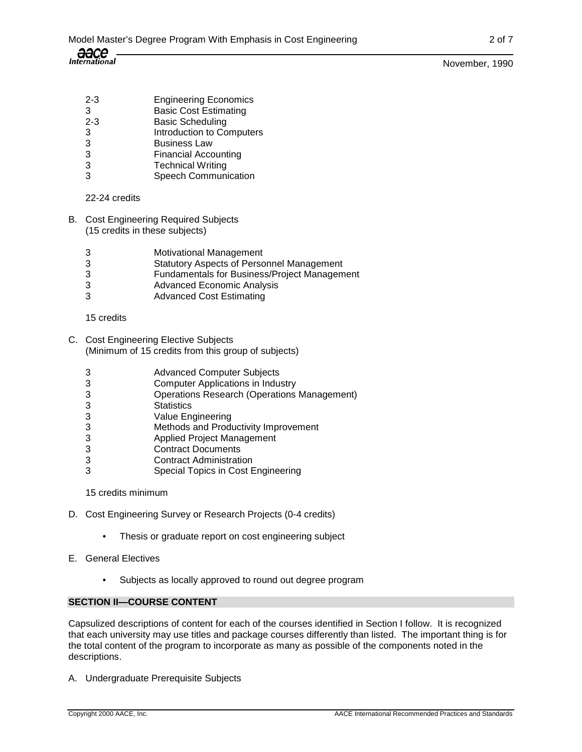- 2-3 Engineering Economics 3 Basic Cost Estimating
- 2-3 Basic Scheduling
- 3 Introduction to Computers
- 3 Business Law
- 3 Financial Accounting
- 3 Technical Writing
- 3 Speech Communication

## 22-24 credits

- B. Cost Engineering Required Subjects (15 credits in these subjects)
	- 3 Motivational Management
	- 3 Statutory Aspects of Personnel Management
	- 3 Fundamentals for Business/Project Management
	- 3 Advanced Economic Analysis
	- 3 Advanced Cost Estimating

#### 15 credits

- C. Cost Engineering Elective Subjects (Minimum of 15 credits from this group of subjects)
	- 3 Advanced Computer Subjects
	- 3 Computer Applications in Industry
	- 3 Operations Research (Operations Management)
	- 3 Statistics
	- 3 Value Engineering
	- 3 Methods and Productivity Improvement<br>3 Applied Project Management
	- 3 Applied Project Management
	- 3 Contract Documents
	- 3 Contract Administration
	- 3 Special Topics in Cost Engineering

## 15 credits minimum

- D. Cost Engineering Survey or Research Projects (0-4 credits)
	- Thesis or graduate report on cost engineering subject
- E. General Electives
	- Subjects as locally approved to round out degree program

## **SECTION II—COURSE CONTENT**

Capsulized descriptions of content for each of the courses identified in Section I follow. It is recognized that each university may use titles and package courses differently than listed. The important thing is for the total content of the program to incorporate as many as possible of the components noted in the descriptions.

A. Undergraduate Prerequisite Subjects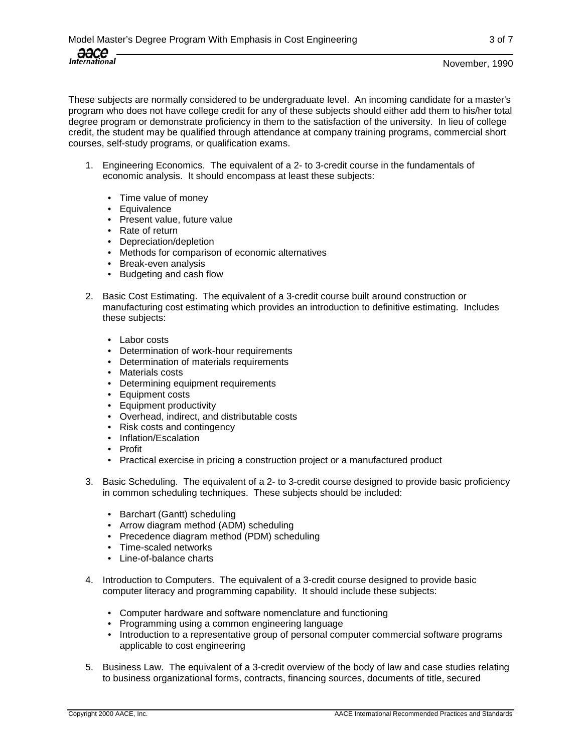These subjects are normally considered to be undergraduate level. An incoming candidate for a master's program who does not have college credit for any of these subjects should either add them to his/her total degree program or demonstrate proficiency in them to the satisfaction of the university. In lieu of college credit, the student may be qualified through attendance at company training programs, commercial short courses, self-study programs, or qualification exams.

- 1. Engineering Economics. The equivalent of a 2- to 3-credit course in the fundamentals of economic analysis. It should encompass at least these subjects:
	- Time value of money
	- Equivalence
	- Present value, future value
	- Rate of return
	- Depreciation/depletion
	- Methods for comparison of economic alternatives
	- Break-even analysis
	- Budgeting and cash flow
- 2. Basic Cost Estimating. The equivalent of a 3-credit course built around construction or manufacturing cost estimating which provides an introduction to definitive estimating. Includes these subjects:
	- Labor costs
	- Determination of work-hour requirements
	- Determination of materials requirements
	- Materials costs
	- Determining equipment requirements
	- Equipment costs
	- Equipment productivity
	- Overhead, indirect, and distributable costs
	- Risk costs and contingency
	- Inflation/Escalation
	- Profit
	- Practical exercise in pricing a construction project or a manufactured product
- 3. Basic Scheduling. The equivalent of a 2- to 3-credit course designed to provide basic proficiency in common scheduling techniques. These subjects should be included:
	- Barchart (Gantt) scheduling
	- Arrow diagram method (ADM) scheduling
	- Precedence diagram method (PDM) scheduling
	- Time-scaled networks
	- Line-of-balance charts
- 4. Introduction to Computers. The equivalent of a 3-credit course designed to provide basic computer literacy and programming capability. It should include these subjects:
	- Computer hardware and software nomenclature and functioning
	- Programming using a common engineering language
	- Introduction to a representative group of personal computer commercial software programs applicable to cost engineering
- 5. Business Law. The equivalent of a 3-credit overview of the body of law and case studies relating to business organizational forms, contracts, financing sources, documents of title, secured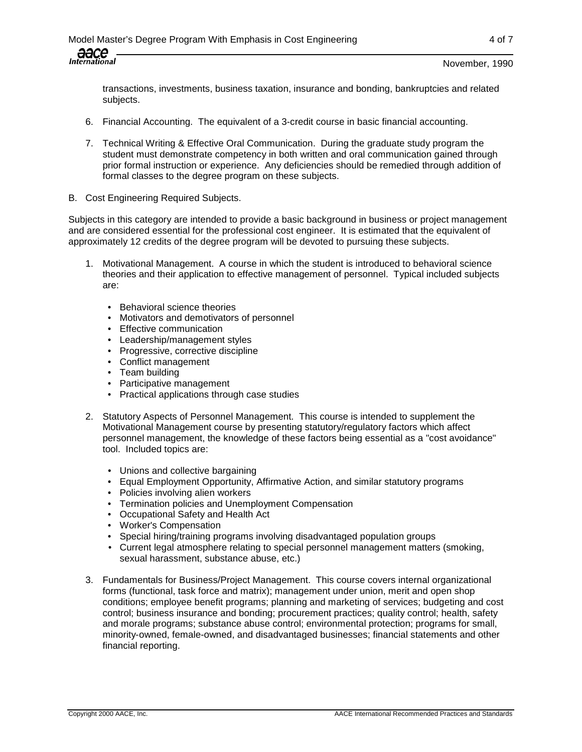transactions, investments, business taxation, insurance and bonding, bankruptcies and related subjects.

- 6. Financial Accounting. The equivalent of a 3-credit course in basic financial accounting.
- 7. Technical Writing & Effective Oral Communication. During the graduate study program the student must demonstrate competency in both written and oral communication gained through prior formal instruction or experience. Any deficiencies should be remedied through addition of formal classes to the degree program on these subjects.
- B. Cost Engineering Required Subjects.

Subjects in this category are intended to provide a basic background in business or project management and are considered essential for the professional cost engineer. It is estimated that the equivalent of approximately 12 credits of the degree program will be devoted to pursuing these subjects.

- 1. Motivational Management. A course in which the student is introduced to behavioral science theories and their application to effective management of personnel. Typical included subjects are:
	- Behavioral science theories
	- Motivators and demotivators of personnel
	- Effective communication
	- Leadership/management styles
	- Progressive, corrective discipline
	- Conflict management
	- Team building
	- Participative management
	- Practical applications through case studies
- 2. Statutory Aspects of Personnel Management. This course is intended to supplement the Motivational Management course by presenting statutory/regulatory factors which affect personnel management, the knowledge of these factors being essential as a "cost avoidance" tool. Included topics are:
	- Unions and collective bargaining
	- Equal Employment Opportunity, Affirmative Action, and similar statutory programs
	- Policies involving alien workers
	- Termination policies and Unemployment Compensation
	- Occupational Safety and Health Act
	- Worker's Compensation
	- Special hiring/training programs involving disadvantaged population groups
	- Current legal atmosphere relating to special personnel management matters (smoking, sexual harassment, substance abuse, etc.)
- 3. Fundamentals for Business/Project Management. This course covers internal organizational forms (functional, task force and matrix); management under union, merit and open shop conditions; employee benefit programs; planning and marketing of services; budgeting and cost control; business insurance and bonding; procurement practices; quality control; health, safety and morale programs; substance abuse control; environmental protection; programs for small, minority-owned, female-owned, and disadvantaged businesses; financial statements and other financial reporting.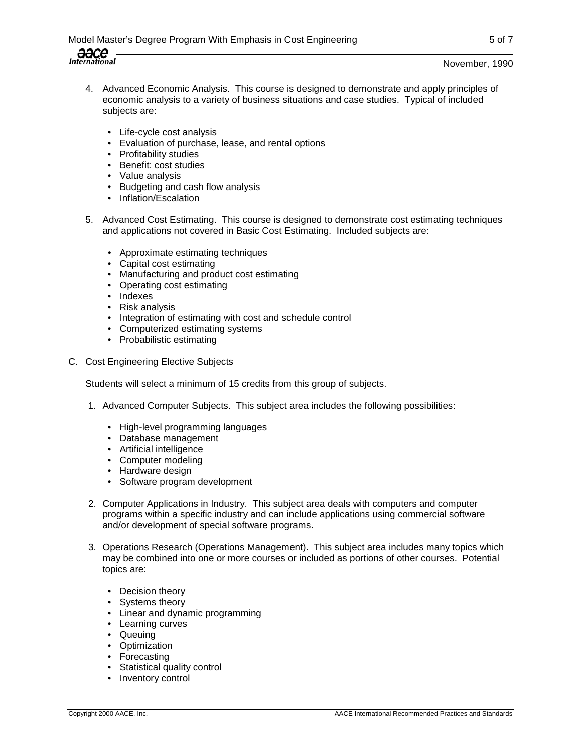- 4. Advanced Economic Analysis. This course is designed to demonstrate and apply principles of economic analysis to a variety of business situations and case studies. Typical of included subjects are:
	- Life-cycle cost analysis
	- Evaluation of purchase, lease, and rental options
	- Profitability studies
	- Benefit: cost studies
	- Value analysis
	- Budgeting and cash flow analysis
	- Inflation/Escalation
- 5. Advanced Cost Estimating. This course is designed to demonstrate cost estimating techniques and applications not covered in Basic Cost Estimating. Included subjects are:
	- Approximate estimating techniques
	- Capital cost estimating
	- Manufacturing and product cost estimating
	- Operating cost estimating
	- Indexes
	- Risk analysis
	- Integration of estimating with cost and schedule control
	- Computerized estimating systems
	- Probabilistic estimating
- C. Cost Engineering Elective Subjects

Students will select a minimum of 15 credits from this group of subjects.

- 1. Advanced Computer Subjects. This subject area includes the following possibilities:
	- High-level programming languages
	- Database management
	- Artificial intelligence
	- Computer modeling
	- Hardware design
	- Software program development
- 2. Computer Applications in Industry. This subject area deals with computers and computer programs within a specific industry and can include applications using commercial software and/or development of special software programs.
- 3. Operations Research (Operations Management). This subject area includes many topics which may be combined into one or more courses or included as portions of other courses. Potential topics are:
	- Decision theory
	- Systems theory
	- Linear and dynamic programming
	- Learning curves
	- Queuing
	- Optimization
	- Forecasting
	- Statistical quality control
	- Inventory control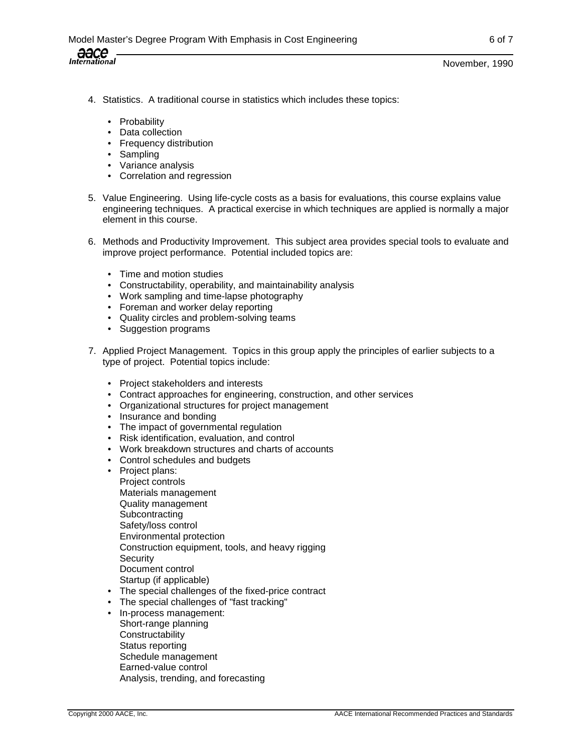- 4. Statistics. A traditional course in statistics which includes these topics:
	- Probability
	- Data collection
	- Frequency distribution
	- Sampling
	- Variance analysis
	- Correlation and regression
- 5. Value Engineering. Using life-cycle costs as a basis for evaluations, this course explains value engineering techniques. A practical exercise in which techniques are applied is normally a major element in this course.
- 6. Methods and Productivity Improvement. This subject area provides special tools to evaluate and improve project performance. Potential included topics are:
	- Time and motion studies
	- Constructability, operability, and maintainability analysis
	- Work sampling and time-lapse photography
	- Foreman and worker delay reporting
	- Quality circles and problem-solving teams
	- Suggestion programs
- 7. Applied Project Management. Topics in this group apply the principles of earlier subjects to a type of project. Potential topics include:
	- Project stakeholders and interests
	- Contract approaches for engineering, construction, and other services
	- Organizational structures for project management
	- Insurance and bonding
	- The impact of governmental regulation
	- Risk identification, evaluation, and control
	- Work breakdown structures and charts of accounts
	- Control schedules and budgets
	- Project plans:
	- Project controls Materials management Quality management **Subcontracting** Safety/loss control Environmental protection Construction equipment, tools, and heavy rigging **Security** Document control Startup (if applicable)
	- The special challenges of the fixed-price contract
	- The special challenges of "fast tracking"
	- In-process management: Short-range planning **Constructability** Status reporting Schedule management Earned-value control Analysis, trending, and forecasting